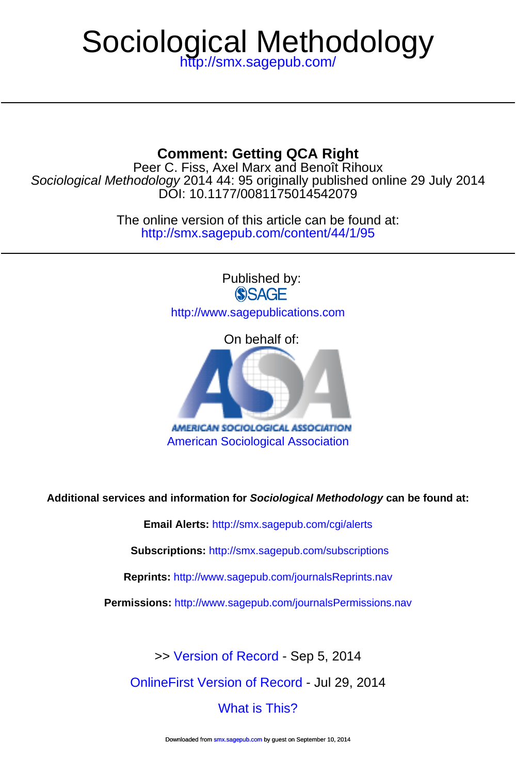# <http://smx.sagepub.com/> Sociological Methodology

## **Comment: Getting QCA Right**

DOI: 10.1177/0081175014542079 Sociological Methodology 2014 44: 95 originally published online 29 July 2014 Peer C. Fiss, Axel Marx and Benoît Rihoux

> <http://smx.sagepub.com/content/44/1/95> The online version of this article can be found at:



**Additional services and information for Sociological Methodology can be found at:**

**Email Alerts:** <http://smx.sagepub.com/cgi/alerts>

**Subscriptions:** <http://smx.sagepub.com/subscriptions>

**Reprints:** <http://www.sagepub.com/journalsReprints.nav>

**Permissions:** <http://www.sagepub.com/journalsPermissions.nav>

>> [Version of Record -](http://smx.sagepub.com/content/44/1/95.full.pdf) Sep 5, 2014

[OnlineFirst Version of Record -](http://smx.sagepub.com/content/early/2014/07/23/0081175014542079.full.pdf) Jul 29, 2014

[What is This?](http://online.sagepub.com/site/sphelp/vorhelp.xhtml)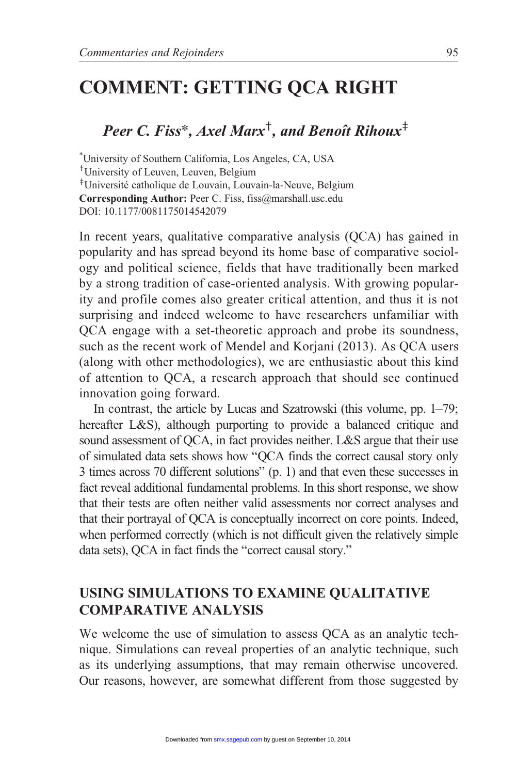## COMMENT: GETTING QCA RIGHT

Peer C. Fiss\*, Axel Marx<sup>†</sup>, and Benoît Rihoux<sup>‡</sup>

\* University of Southern California, Los Angeles, CA, USA <sup>†</sup>University of Leuven, Leuven, Belgium <sup>‡</sup>Université catholique de Louvain, Louvain-la-Neuve, Belgium Corresponding Author: Peer C. Fiss, fiss@marshall.usc.edu DOI: 10.1177/0081175014542079

In recent years, qualitative comparative analysis (QCA) has gained in popularity and has spread beyond its home base of comparative sociology and political science, fields that have traditionally been marked by a strong tradition of case-oriented analysis. With growing popularity and profile comes also greater critical attention, and thus it is not surprising and indeed welcome to have researchers unfamiliar with QCA engage with a set-theoretic approach and probe its soundness, such as the recent work of Mendel and Korjani (2013). As QCA users (along with other methodologies), we are enthusiastic about this kind of attention to QCA, a research approach that should see continued innovation going forward.

In contrast, the article by Lucas and Szatrowski (this volume, pp. 1–79; hereafter L&S), although purporting to provide a balanced critique and sound assessment of OCA, in fact provides neither. L&S argue that their use of simulated data sets shows how "QCA finds the correct causal story only 3 times across 70 different solutions" (p. 1) and that even these successes in fact reveal additional fundamental problems. In this short response, we show that their tests are often neither valid assessments nor correct analyses and that their portrayal of QCA is conceptually incorrect on core points. Indeed, when performed correctly (which is not difficult given the relatively simple data sets), QCA in fact finds the "correct causal story."

## USING SIMULATIONS TO EXAMINE QUALITATIVE COMPARATIVE ANALYSIS

We welcome the use of simulation to assess QCA as an analytic technique. Simulations can reveal properties of an analytic technique, such as its underlying assumptions, that may remain otherwise uncovered. Our reasons, however, are somewhat different from those suggested by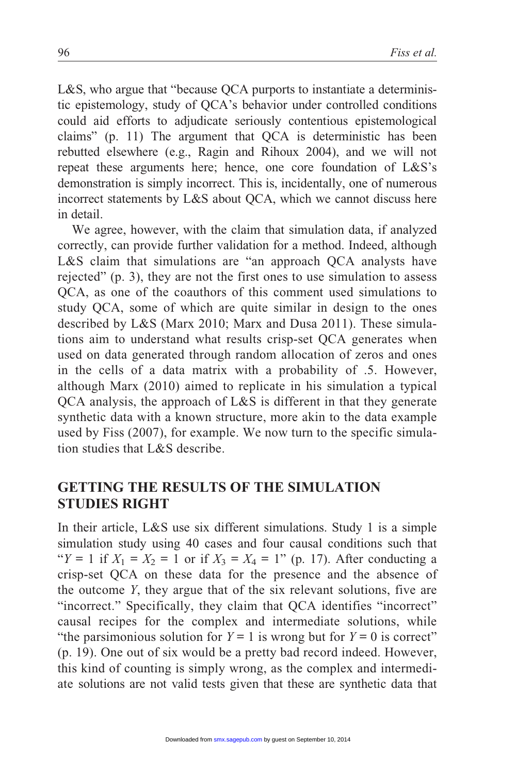L&S, who argue that "because QCA purports to instantiate a deterministic epistemology, study of QCA's behavior under controlled conditions could aid efforts to adjudicate seriously contentious epistemological claims" (p. 11) The argument that QCA is deterministic has been rebutted elsewhere (e.g., Ragin and Rihoux 2004), and we will not repeat these arguments here; hence, one core foundation of L&S's demonstration is simply incorrect. This is, incidentally, one of numerous incorrect statements by L&S about QCA, which we cannot discuss here in detail.

We agree, however, with the claim that simulation data, if analyzed correctly, can provide further validation for a method. Indeed, although L&S claim that simulations are "an approach QCA analysts have rejected" (p. 3), they are not the first ones to use simulation to assess QCA, as one of the coauthors of this comment used simulations to study QCA, some of which are quite similar in design to the ones described by L&S (Marx 2010; Marx and Dusa 2011). These simulations aim to understand what results crisp-set QCA generates when used on data generated through random allocation of zeros and ones in the cells of a data matrix with a probability of .5. However, although Marx (2010) aimed to replicate in his simulation a typical QCA analysis, the approach of L&S is different in that they generate synthetic data with a known structure, more akin to the data example used by Fiss (2007), for example. We now turn to the specific simulation studies that L&S describe.

### GETTING THE RESULTS OF THE SIMULATION STUDIES RIGHT

In their article, L&S use six different simulations. Study 1 is a simple simulation study using 40 cases and four causal conditions such that "Y = 1 if  $X_1 = X_2 = 1$  or if  $X_3 = X_4 = 1$ " (p. 17). After conducting a crisp-set QCA on these data for the presence and the absence of the outcome Y, they argue that of the six relevant solutions, five are "incorrect." Specifically, they claim that QCA identifies "incorrect" causal recipes for the complex and intermediate solutions, while "the parsimonious solution for  $Y = 1$  is wrong but for  $Y = 0$  is correct" (p. 19). One out of six would be a pretty bad record indeed. However, this kind of counting is simply wrong, as the complex and intermediate solutions are not valid tests given that these are synthetic data that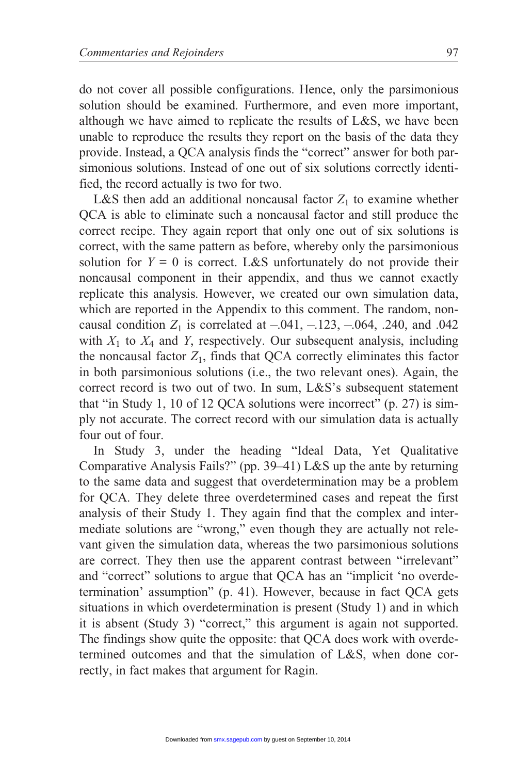do not cover all possible configurations. Hence, only the parsimonious solution should be examined. Furthermore, and even more important, although we have aimed to replicate the results of L&S, we have been unable to reproduce the results they report on the basis of the data they provide. Instead, a QCA analysis finds the "correct" answer for both parsimonious solutions. Instead of one out of six solutions correctly identified, the record actually is two for two.

L&S then add an additional noncausal factor  $Z_1$  to examine whether QCA is able to eliminate such a noncausal factor and still produce the correct recipe. They again report that only one out of six solutions is correct, with the same pattern as before, whereby only the parsimonious solution for  $Y = 0$  is correct. L&S unfortunately do not provide their noncausal component in their appendix, and thus we cannot exactly replicate this analysis. However, we created our own simulation data, which are reported in the Appendix to this comment. The random, noncausal condition  $Z_1$  is correlated at  $-.041, -.123, -.064, .240,$  and  $.042$ with  $X_1$  to  $X_4$  and Y, respectively. Our subsequent analysis, including the noncausal factor  $Z_1$ , finds that QCA correctly eliminates this factor in both parsimonious solutions (i.e., the two relevant ones). Again, the correct record is two out of two. In sum, L&S's subsequent statement that "in Study 1, 10 of 12 QCA solutions were incorrect" (p. 27) is simply not accurate. The correct record with our simulation data is actually four out of four.

In Study 3, under the heading "Ideal Data, Yet Qualitative Comparative Analysis Fails?" (pp. 39–41) L&S up the ante by returning to the same data and suggest that overdetermination may be a problem for QCA. They delete three overdetermined cases and repeat the first analysis of their Study 1. They again find that the complex and intermediate solutions are "wrong," even though they are actually not relevant given the simulation data, whereas the two parsimonious solutions are correct. They then use the apparent contrast between "irrelevant" and "correct" solutions to argue that QCA has an "implicit 'no overdetermination' assumption" (p. 41). However, because in fact QCA gets situations in which overdetermination is present (Study 1) and in which it is absent (Study 3) "correct," this argument is again not supported. The findings show quite the opposite: that QCA does work with overdetermined outcomes and that the simulation of L&S, when done correctly, in fact makes that argument for Ragin.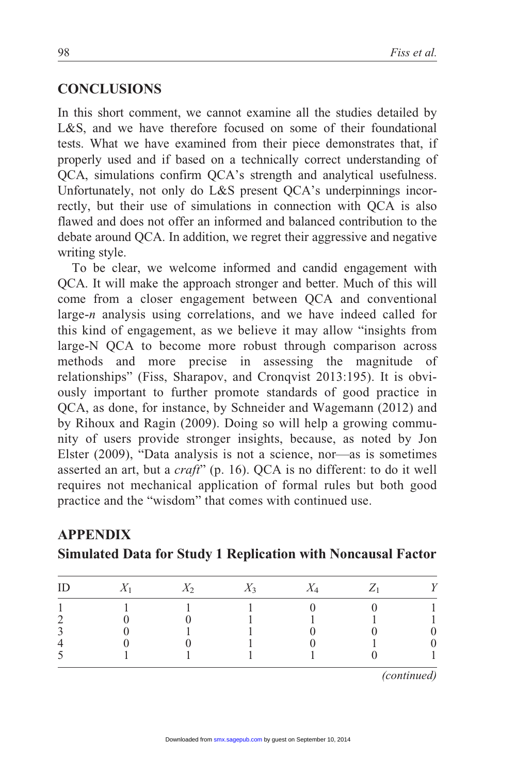#### **CONCLUSIONS**

In this short comment, we cannot examine all the studies detailed by L&S, and we have therefore focused on some of their foundational tests. What we have examined from their piece demonstrates that, if properly used and if based on a technically correct understanding of QCA, simulations confirm QCA's strength and analytical usefulness. Unfortunately, not only do L&S present QCA's underpinnings incorrectly, but their use of simulations in connection with QCA is also flawed and does not offer an informed and balanced contribution to the debate around QCA. In addition, we regret their aggressive and negative writing style.

To be clear, we welcome informed and candid engagement with QCA. It will make the approach stronger and better. Much of this will come from a closer engagement between QCA and conventional large-*n* analysis using correlations, and we have indeed called for this kind of engagement, as we believe it may allow "insights from large-N QCA to become more robust through comparison across methods and more precise in assessing the magnitude of relationships" (Fiss, Sharapov, and Cronqvist 2013:195). It is obviously important to further promote standards of good practice in QCA, as done, for instance, by Schneider and Wagemann (2012) and by Rihoux and Ragin (2009). Doing so will help a growing community of users provide stronger insights, because, as noted by Jon Elster (2009), "Data analysis is not a science, nor—as is sometimes asserted an art, but a craft" (p. 16). QCA is no different: to do it well requires not mechanical application of formal rules but both good practice and the "wisdom" that comes with continued use.

| <b>APPENDIX</b>                                                     |  |
|---------------------------------------------------------------------|--|
| <b>Simulated Data for Study 1 Replication with Noncausal Factor</b> |  |

| ID            | $X_1$ | $X_2$ | $\mathbf{V}$<br>$\Lambda_3$ |  |  |
|---------------|-------|-------|-----------------------------|--|--|
|               |       |       |                             |  |  |
|               |       |       |                             |  |  |
| $\mathcal{L}$ |       |       |                             |  |  |
| Δ             |       |       |                             |  |  |
|               |       |       |                             |  |  |
|               |       |       |                             |  |  |

(continued)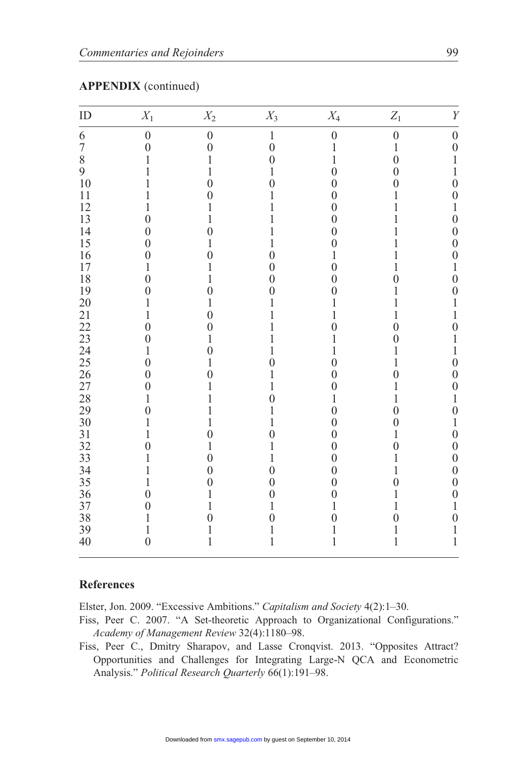| ID                                         | $X_{\rm 1}$      | $\mathcal{X}_2$  | $X_3$            | $\mathcal{X}_4$  | $\ensuremath{\mathnormal{Z}}_1$ | $\boldsymbol{Y}$ |
|--------------------------------------------|------------------|------------------|------------------|------------------|---------------------------------|------------------|
|                                            | $\overline{0}$   | $\overline{0}$   | $\mathbf{1}$     | $\boldsymbol{0}$ | $\boldsymbol{0}$                | $\overline{0}$   |
| $\begin{array}{c} 6 \\ 7 \\ 8 \end{array}$ | $\overline{0}$   | $\overline{0}$   | $\overline{0}$   | $\mathbf{1}$     | $\,1$                           | $\boldsymbol{0}$ |
|                                            | $\,1$            | $\,1$            | $\overline{0}$   | $\mathbf{1}$     | $\overline{0}$                  | $\mathbf{1}$     |
| 9                                          | 1                | $\mathbf{1}$     | $\mathbf{1}$     | $\overline{0}$   | $\boldsymbol{0}$                | $\mathbf{1}$     |
| 10                                         | 1                | $\overline{0}$   | $\overline{0}$   | $\boldsymbol{0}$ | $\boldsymbol{0}$                | $\boldsymbol{0}$ |
| 11                                         | $\,1$            | $\boldsymbol{0}$ | $\mathbf{1}$     | $\boldsymbol{0}$ | $\mathbf 1$                     | $\boldsymbol{0}$ |
| 12                                         | $\mathbf{1}$     | 1                | 1                | $\theta$         | 1                               | $\mathbf{1}$     |
| 13                                         | $\theta$         | $\mathbf 1$      | 1                | $\overline{0}$   | 1                               | $\overline{0}$   |
| 14                                         | $\overline{0}$   | $\overline{0}$   | $\mathbf 1$      | $\boldsymbol{0}$ | 1                               | $\boldsymbol{0}$ |
| 15                                         | $\boldsymbol{0}$ | $\,1$            | $\mathbf{1}$     | $\boldsymbol{0}$ | 1                               | $\boldsymbol{0}$ |
| 16                                         | $\boldsymbol{0}$ | $\boldsymbol{0}$ | $\overline{0}$   | $\mathbf{1}$     | 1                               | $\boldsymbol{0}$ |
| 17                                         | $\mathbf{1}$     | $\,1$            | $\overline{0}$   | $\overline{0}$   | 1                               | $\mathbf{1}$     |
| 18                                         | $\overline{0}$   | $\,1$            | $\overline{0}$   | $\overline{0}$   | $\overline{0}$                  | $\boldsymbol{0}$ |
| 19                                         | $\overline{0}$   | $\overline{0}$   | $\boldsymbol{0}$ | $\boldsymbol{0}$ | 1                               | $\boldsymbol{0}$ |
| 20                                         | $\mathbf{1}$     | $\,1$            | $\mathbf 1$      | 1                | 1                               | $\,1$            |
| 21                                         | $\,1$            | $\overline{0}$   | $\mathbf 1$      | $\mathbf{1}$     | $\mathbf 1$                     | $\,1\,$          |
| 22                                         | $\overline{0}$   | $\overline{0}$   | $\mathbf 1$      | $\overline{0}$   | $\overline{0}$                  | $\boldsymbol{0}$ |
| 23                                         | $\boldsymbol{0}$ | $\,1\,$          | $\mathbf{1}$     | $\mathbf{1}$     | $\boldsymbol{0}$                | $\,1\,$          |
| 24                                         | $\,1$            | $\overline{0}$   | $\mathbf 1$      | 1                | $\mathbf{1}$                    | $\,1\,$          |
| 25                                         | $\overline{0}$   | $\,1$            | $\overline{0}$   | $\overline{0}$   | $\mathbf{1}$                    | $\boldsymbol{0}$ |
| 26                                         | $\overline{0}$   | $\overline{0}$   | $\mathbf{1}$     | $\boldsymbol{0}$ | $\overline{0}$                  | $\boldsymbol{0}$ |
| 27                                         | $\boldsymbol{0}$ | $\mathbf 1$      | $\mathbf 1$      | $\boldsymbol{0}$ | 1                               | $\boldsymbol{0}$ |
| 28                                         | 1                | $\mathbf{1}$     | $\boldsymbol{0}$ | 1                | 1                               | $\,1\,$          |
| 29                                         | $\boldsymbol{0}$ | 1                | $\mathbf{1}$     | $\overline{0}$   | $\boldsymbol{0}$                | $\boldsymbol{0}$ |
| 30                                         | $\mathbf 1$      | $\mathbf 1$      | $\mathbf{1}$     | $\boldsymbol{0}$ | $\boldsymbol{0}$                | $\,1$            |
| 31                                         | $\mathbf 1$      | $\boldsymbol{0}$ | $\boldsymbol{0}$ | $\boldsymbol{0}$ | $\mathbf 1$                     | $\boldsymbol{0}$ |
| 32                                         | $\boldsymbol{0}$ | $\,1$            | $\mathbf{1}$     | $\overline{0}$   | $\overline{0}$                  | $\overline{0}$   |
| 33                                         | $\,1$            | $\overline{0}$   | $\mathbf{1}$     | $\overline{0}$   | $\mathbf 1$                     | $\overline{0}$   |
| 34                                         | $\mathbf 1$      | $\overline{0}$   | $\overline{0}$   | $\overline{0}$   | $\mathbf{1}$                    | $\boldsymbol{0}$ |
| 35                                         | $\mathbf{1}$     | $\boldsymbol{0}$ | $\overline{0}$   | $\boldsymbol{0}$ | $\overline{0}$                  | $\boldsymbol{0}$ |
| 36                                         | $\boldsymbol{0}$ | $\mathbf{1}$     | $\overline{0}$   | $\boldsymbol{0}$ | $\mathbf{1}$                    | $\boldsymbol{0}$ |
| 37                                         | $\boldsymbol{0}$ | $\,1$            | $\,1$            | $\,1$            | $\,1$                           | $\,1$            |
| 38                                         | $\,1$            | $\overline{0}$   | $\overline{0}$   | $\boldsymbol{0}$ | $\boldsymbol{0}$                | $\boldsymbol{0}$ |
| 39                                         | $\,1$            | $\,1$            | $\,1$            | $\,1$            | $\,1$                           | $\,1$            |
| 40                                         | $\overline{0}$   | $\mathbf{1}$     | $\mathbf{1}$     | $\mathbf{1}$     | $\mathbf{1}$                    | $\mathbf{1}$     |

#### APPENDIX (continued)

#### References

Elster, Jon. 2009. "Excessive Ambitions." Capitalism and Society 4(2):1–30.

- Fiss, Peer C. 2007. "A Set-theoretic Approach to Organizational Configurations." Academy of Management Review 32(4):1180–98.
- Fiss, Peer C., Dmitry Sharapov, and Lasse Cronqvist. 2013. "Opposites Attract? Opportunities and Challenges for Integrating Large-N QCA and Econometric Analysis." Political Research Quarterly 66(1):191–98.